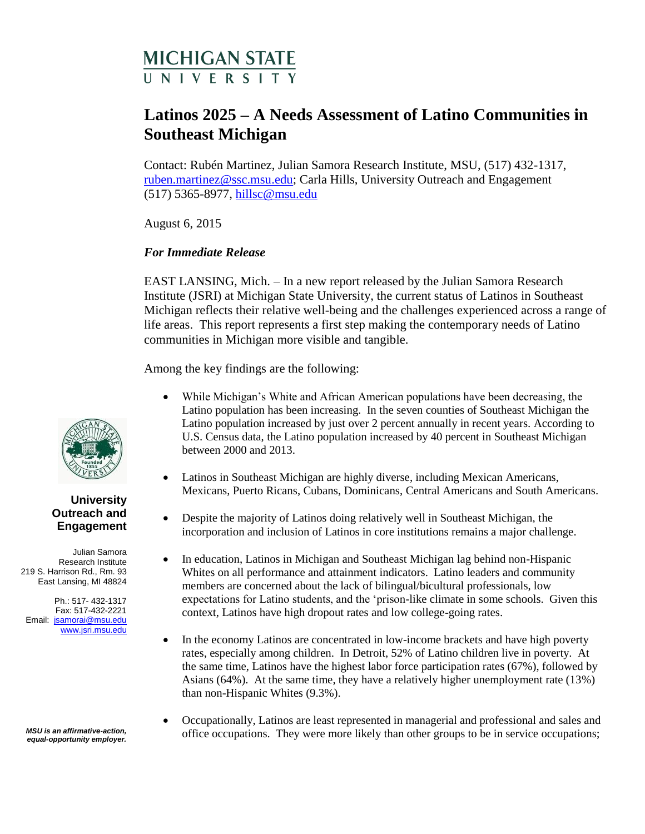# MICHIGAN STATE

## **Latinos 2025 – A Needs Assessment of Latino Communities in Southeast Michigan**

Contact: Rubén Martinez, Julian Samora Research Institute, MSU, (517) 432-1317, [ruben.martinez@ssc.msu.edu;](mailto:ruben.martinez@ssc.msu.edu) Carla Hills, University Outreach and Engagement (517) 5365-8977, [hillsc@msu.edu](mailto:hillsc@msu.edu)

August 6, 2015

### *For Immediate Release*

EAST LANSING, Mich. – In a new report released by the Julian Samora Research Institute (JSRI) at Michigan State University, the current status of Latinos in Southeast Michigan reflects their relative well-being and the challenges experienced across a range of life areas. This report represents a first step making the contemporary needs of Latino communities in Michigan more visible and tangible.

Among the key findings are the following:

- While Michigan's White and African American populations have been decreasing, the Latino population has been increasing. In the seven counties of Southeast Michigan the Latino population increased by just over 2 percent annually in recent years. According to U.S. Census data, the Latino population increased by 40 percent in Southeast Michigan between 2000 and 2013.
- Latinos in Southeast Michigan are highly diverse, including Mexican Americans, Mexicans, Puerto Ricans, Cubans, Dominicans, Central Americans and South Americans.
- Despite the majority of Latinos doing relatively well in Southeast Michigan, the incorporation and inclusion of Latinos in core institutions remains a major challenge.
- In education, Latinos in Michigan and Southeast Michigan lag behind non-Hispanic Whites on all performance and attainment indicators. Latino leaders and community members are concerned about the lack of bilingual/bicultural professionals, low expectations for Latino students, and the 'prison-like climate in some schools. Given this context, Latinos have high dropout rates and low college-going rates.
- In the economy Latinos are concentrated in low-income brackets and have high poverty rates, especially among children. In Detroit, 52% of Latino children live in poverty. At the same time, Latinos have the highest labor force participation rates (67%), followed by Asians (64%). At the same time, they have a relatively higher unemployment rate (13%) than non-Hispanic Whites (9.3%).
- Occupationally, Latinos are least represented in managerial and professional and sales and office occupations. They were more likely than other groups to be in service occupations;



#### **University Outreach and Engagement**

Julian Samora Research Institute 219 S. Harrison Rd., Rm. 93 East Lansing, MI 48824

Ph.: 517- 432-1317 Fax: 517-432-2221 Email: [jsamorai@msu.edu](mailto:jsamorai@msu.edu) www.jsri.msu.edu

*MSU is an affirmative-action, equal-opportunity employer.*